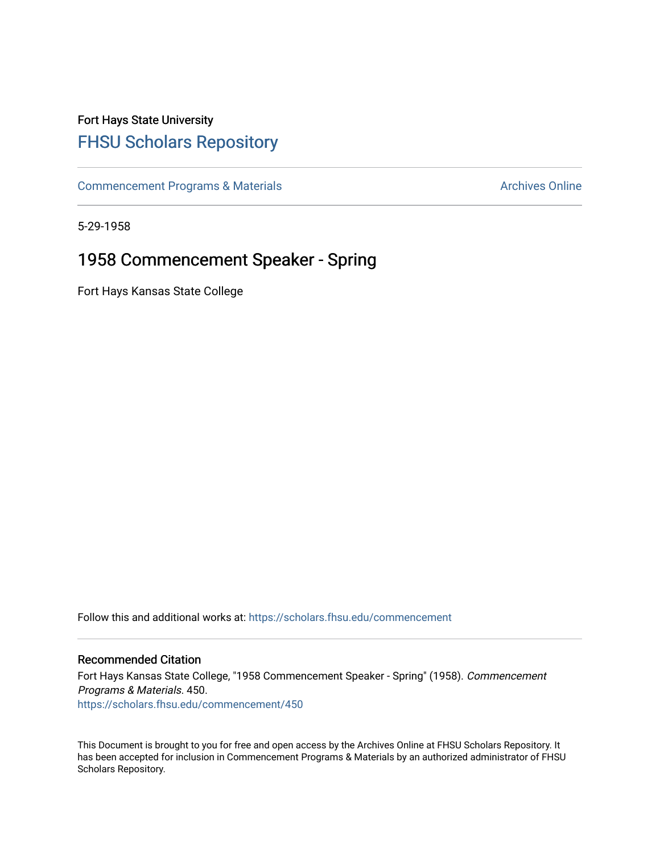## Fort Hays State University [FHSU Scholars Repository](https://scholars.fhsu.edu/)

[Commencement Programs & Materials](https://scholars.fhsu.edu/commencement) **Archives Online** Archives Online

5-29-1958

## 1958 Commencement Speaker - Spring

Fort Hays Kansas State College

Follow this and additional works at: [https://scholars.fhsu.edu/commencement](https://scholars.fhsu.edu/commencement?utm_source=scholars.fhsu.edu%2Fcommencement%2F450&utm_medium=PDF&utm_campaign=PDFCoverPages)

## Recommended Citation

Fort Hays Kansas State College, "1958 Commencement Speaker - Spring" (1958). Commencement Programs & Materials. 450. [https://scholars.fhsu.edu/commencement/450](https://scholars.fhsu.edu/commencement/450?utm_source=scholars.fhsu.edu%2Fcommencement%2F450&utm_medium=PDF&utm_campaign=PDFCoverPages)

This Document is brought to you for free and open access by the Archives Online at FHSU Scholars Repository. It has been accepted for inclusion in Commencement Programs & Materials by an authorized administrator of FHSU Scholars Repository.